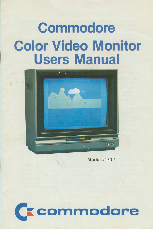# **Commodore Color Video Monitor Users Manual**



**Model #1702** 

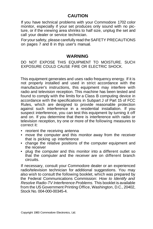# **CAUTION**

If you have technical problems with your Commodore 1702 color monitor, especially if your set produces only sound with no picture, or if the viewing area shrinks to half size, unplug the set and call your dealer or service technician.

For your safety, please carefully read the SAFETY PRECAUTIONS on pages 7 and 8 in thjs user's manual.

#### **WARNING**

DO NOT EXPOSE THIS EQUIPMENT TO MOISTURE. SUCH EXPOSURE COULD CAUSE FIRE OR ELECTRIC SHOCK.

This equipment generates and uses radio frequency energy. If it is not properly installed and used in strict accordance with the manufacturer's instructions, this equipment may interfere with radio and television reception. This machine has been tested and found to comply with the limits for a Class B computing device in accordance with the specifications in Subpart J of Part 15 of FCC Rules, which are designed to provide reasonable protection against such interference in a residential installation. If you suspect interference, you can test this equipment by turning it off and on. If you determine that there is interference with radio or television reception, try one or more of the following measures to correct it:

- reorient the receiving antenna
- move the computer and this monitor away from the receiver that is picking up interference
- change the relative positions of the computer equipment and the receiver
- plug the computer and this monitor into a different outlet so that the computer and the receiver are on different branch circuits.

If necessary, consult your Commodore dealer or an experienced radio/television technician for additional suggestions. You may also wish to consult the following booklet, which was prepared by the Federal Communications Commission: *How to Identify and Resolve Radio-TV Interference Problems.* This booklet is available from the US Government Printing Office, Washington, D.C., 20402, Stock No. 004-000-00345-4.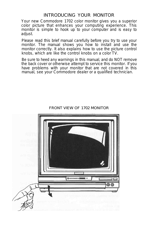## INTRODUCING YOUR MONITOR

Your new Commodore 1702 color monitor gives you a superior color picture that enhances your computing experience. This monitor is simple to hook up to your computer and is easy to adjust.

Please read this brief manual carefully before you try to use your monitor. The manual shows you how to install and use the monitor correctly. It also explains how to use the picture control knobs, which are like the control knobs on a color TV.

Be sure to heed any warnings in this manual, and do NOT remove the back cover or otherwise attempt to service this monitor. If you have problems with your monitor that are not covered in this manual, see your Commodore dealer or a qualified technician.



#### FRONT VIEW OF 1702 MONITOR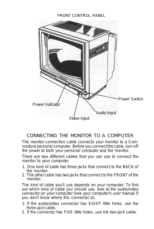#### FRONT CONTROL PANEL



# CONNECTING THE MONITOR TO A COMPUTER

The monitor connection cable connects your monitor to a Commodore personal computer. Before you connect the cable, turn off the power to both your personal computer and the monitor.

There are two different cables that you can use to connect the monitor to your computer.

- 1. One kind of cable has three jacks that connect to the BACK of the monitor.
- 2. The other cable has two jacks that connect to the FRONT of the monitor.

The kind of cable you'll use depends on your computer. To find out which kind of cable you should use, look at the audio/video connector on your computer (see your computer's user manual if you don't know where this connector is).

- 1. If the audio/video connector has EIGHT little holes, use the three-jack cable.
- 2. If the connector has FIVE little holes, use trie two-jack cable.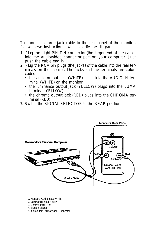To connect a three-jack cable to the rear panel of the monitor, follow these instructions, which clarify the diagram:

- 1. Plug the eight PIN DIN connector (the larger end of the cable) into the audio/video connector port on your computer. Just push the cable end in.
- 2. Plug the RCA pin plugs (the jacks) of the cable into the rear terminals on the monitor. The jacks and the terminals are colorcoded:
	- the audio output jack (WHITE) plugs into the AUDIO IN terminal (WHITE) on the monitor
	- the luminance output jack (YELLOW) plugs into the LUMA terminal (YELLOW)
	- the chroma output jack (RED) plugs into the CHROMA terminal (RED)
- 3. Switch the SIGNAL SELECTOR to the REAR position.



- 1. Monitor's *Audio* Input (White)
- 2. Luminance Input (YeBow)
- 3. Chroma Input (Red)
- 4. Signal Selector
- 5. Computer's Audio/Video Connector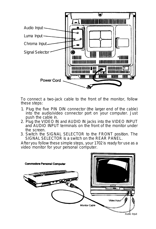

To connect a two-jack cable to the front of the monitor, follow these steps:

- 1. Plug the five PIN DIN connector (the larger end of the cable) into the audio/video connector port on your computer. Just push the cable in.
- 2. Plug the VIDEO IN and AUDIO IN jacks into the VIDEO INPUT and AUDIO INPUT terminals on the front of the monitor under the screen.
- 3. Switch the SIGNAL SELECTOR to the FRONT position. The SIGNAL SELECTOR is a switch on the REAR PANEL.

After you follow these simple steps, your 1702 is ready for use as a video monitor for your personal computer.

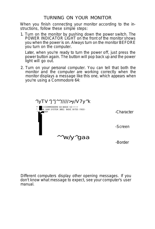# TURNING ON YOUR MONITOR

When you finish connecting your monitor according to the instructions, follow these simple steps:

1. Turn on the monitor by pushing down the power switch. The POWER INDICATOR LIGHT on the front of the monitor shows you when the power is on. Always turn on the monitor BEFORE you turn on the computer.

Later, when you're ready to turn the power off, just press the power button again. The button will pop back up and the power light will go out.

2. Turn on your personal computer. You can tell that both the monitor and the computer are working correctly when the monitor displays a message like this one, which appears when you're using a Commodore 64:

*^iyTV^j^j^^/////>y/V7y^k*

*^ ••••* COMMODORE 64 BASIC V2 • • • • **4K HAM SYSTEM 38911 BASIC BYTES FREE-**^ READY recently the contract of A A A AK PE

-Character

-Screen



-Border

Different computers display other opening messages. If you don't know what message to expect, see your computer's user manual.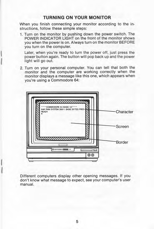#### **TURNING ON YOUR MONITOR**

When you finish connecting your monitor according to the instructions, follow these simple steps:

1. Turn on the monitor by pushing down the power switch. The POWER INDICATOR LIGHT on the front of the monitor shows you when the power is on. Always turn on the monitor BEFORE you turn on the computer.

Later, when you're ready to turn the power off, just press the power button again. The button will pop back up and the power light will go out.

2. Turn on your personal computer. You can tell that both the monitor and the computer are working correctly when the monitor displays a message like this one, which appears when you're using a Commodore 64:



Different computers display other opening messages. If you don't know what message to expect, see your computer's user manual.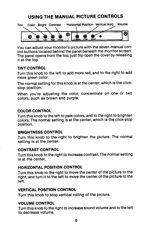# USING THE MANUAL PICTURE CONTROLS



You can adjust your monitor's picture with the seven manual control buttons located behind the panel beneath the monitor screen. The panel opens from the top; just flip open the cover by releasing it at the top.

#### **TINT CONTROL**

Turn this knob to the left to add more red, and to the right to add more green color.

The normal setting for this knob is at the center, which is the clickstop position.

When you're adjusting the color, concentrate on one or two colors, such as brown and purple.

#### **COLOR CONTROL**

Turn this knob to the left to pale colors, and to the right to brighten colors. The normal setting is at the center, which is the click-stop position.

#### **BRIGHTNESS CONTROL**

Turn this knob to the right to brighten the picture. The normal setting is at the center.

#### **CONTRAST CONTROL**

Turn this knob to the right to increase contrast. The normal setting is at the center.

#### HORIZONTAL POSITION CONTROL

Turn this knob to the right to move the center of the picture to the right, and turn it to the left to move the center of the picture to the left.

#### **VERTICAL POSITION CONTROL**

Turn this knob to stop vertical rolling of the picture.

#### **VOLUME CONTROL**

Turn this knob to the right to increase sound volume and to the left to decrease volume.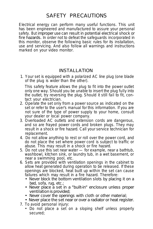# SAFETY PRECAUTIONS

Electrical energy can perform many useful functions. This unit has been engineered and manufactured to assure your personal safety. But improper use can result in potential electrical shock or fire hazards. In order not to defeat the safeguards incorporated in this monitor, observe the following basic rules for its installation, use and servicing. And also follow all warnings and instructions marked on your video monitor.

## INSTALLATION

1. Your set is equipped with a polarized AC line plug (one blade of the plug is wider than the other).

This safety feature allows the plug to fit into the power outlet only one way. Should you be unable to insert the plug fully into the outlet, try reversing the plug. Should it still fail to fit, contact your electrician.

- 2. Operate the set only from a power source as indicated on the set or refer to the user's manual for this information. If you are not sure of the type of power supply to your home, consult your dealer or local power company.
- 3. Overloaded AC outlets and extension cords are dangerous, and so are frayed power cords and broken plugs. They may result in a shock or fire hazard. Call your service technician for replacement.
- 4. Do not allow anything to rest or roll over the power cord, and do not place the set where power cord is subject to traffic or abuse. This may result in a shock or fire hazard.
- 5. Do not use this set near water for example, near a bathtub, washbowl, kitchen sink, or laundry tub, in a wet basement, or near a swimming pool, etc.
- 6. Sets are provided with ventilation openings in the cabinet to allow heat generated during operation to be released. If these openings are blocked, heat built up within the set can cause failures which may result in a fire hazard. Therefore:
	- Never block the bottom ventilation slots by placing it on a bed, sofa, rug, etc.;
	- Never place a set in a "built-in" enclosure unless proper ventilation is provided;
	- Never cover the openings with cloth or other material;
	- Never place the set near or over a radiator or heat register.
- 7. To avoid personal injury:
	- Do not place a set on a sloping shelf unless properly secured;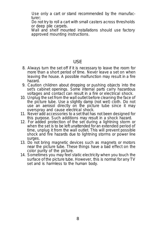Use only a cart or stand recommended by the manufacturer;

Do not try to roll a cart with small casters across thresholds or deep pile carpets.

Wall and shelf mounted installations should use factory approved mounting instructions.

#### USE

- 8. Always turn the set off if it is necessary to leave the room for more than a short period of time. Never leave a set on when leaving the house. A possible malfunction may result in a fire hazard.
- 9. Caution children about dropping or pushing objects into the set's cabinet openings. Some internal parts carry hazardous voltages and contact can result in a fire or electrical shock.
- 10. Unplug the set from the wall outlet before cleaning the face of the picture tube. Use a slightly damp (not wet) cloth. Do not use an aerosol directly on the picture tube since it may overspray and cause electrical shock.
- 11. Never add accessories to a set that has not been designed for this purpose. Such additions may result in a shock hazard.
- 12. For added protection of the set during a lightning storm or when the set is to be left unattended for an extended period of time, unplug it from the wall outlet. This will prevent possible shock and fire hazards due to lightning storms or power line surges.
- 13. Do not bring magnetic devices such as magnets or motors near the picture tube. These things have a bad effect on the color purity of the picture.
- 14. Sometimes you may feel static electricity when you touch the surface of the picture tube. However, this is normal for any TV set and is harmless to the human body.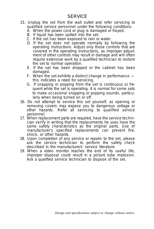### **SERVICE**

- 15. Unplug the set from the wall outlet and refer servicing to qualified service personnel under the following conditions:
	- A. When the power cord or plug is damaged or frayed,
	- B. If liquid has been spilled into the set.
	- C. If the set has been exposed to rain or water.
	- D. If the set does not operate normally by following the operating instructions. Adjust only those controls that are covered in the operating instructions, as improper adjustment of other controls may result in damage and will often require extensive work by a qualified technician to restore the set to normal operation.
	- E. If the set has been dropped or the cabinet has been damaged.
	- F. When the set exhibits a distinct change in performance this indicates a need for servicing.
	- G. If snapping or popping from the set is continuous or frequent while the set is operating. It is normal for some sets to make occasional snapping or popping sounds, particularly when being turned on or off.
- 16. Do not attempt to service this set yourself, as opening or removing covers may expose you to dangerous voltage or other hazards. Refer all servicing to qualified service personnel.
- 17. When replacement parts are required, have the service technician verify in writing that the replacements he uses have the same safety characteristics as the original parts. Use of manufacturer's specified replacements can prevent fire, shock, or other hazards.
- 18. Upon completion of any service or repairs to the set, please ask the service technician to perform the safety check described in the manufacturers' service literature.
- 19. When a video monitor reaches the end of its useful life, improper disposal could result in a picture tube implosion. Ask a qualified service technician to dispose of the set.